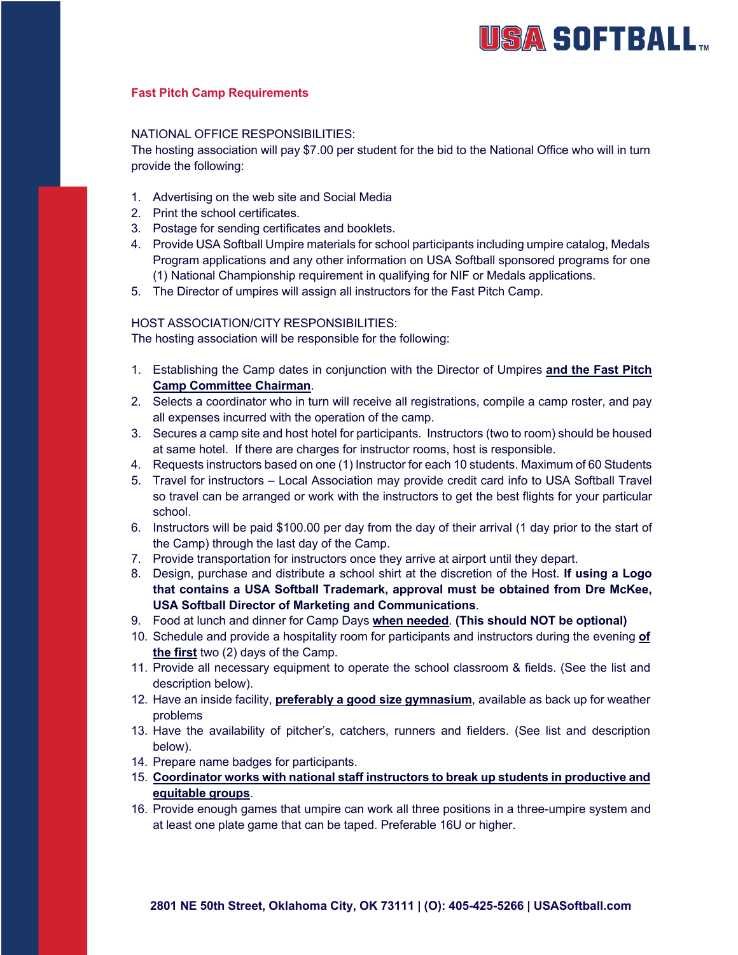# **USA SOFTBALL**

# **Fast Pitch Camp Requirements**

### NATIONAL OFFICE RESPONSIBILITIES:

The hosting association will pay \$7.00 per student for the bid to the National Office who will in turn provide the following:

- 1. Advertising on the web site and Social Media
- 2. Print the school certificates.
- 3. Postage for sending certificates and booklets.
- 4. Provide USA Softball Umpire materials for school participants including umpire catalog, Medals Program applications and any other information on USA Softball sponsored programs for one (1) National Championship requirement in qualifying for NIF or Medals applications.
- 5. The Director of umpires will assign all instructors for the Fast Pitch Camp.

### HOST ASSOCIATION/CITY RESPONSIBILITIES:

The hosting association will be responsible for the following:

- 1. Establishing the Camp dates in conjunction with the Director of Umpires **and the Fast Pitch Camp Committee Chairman**.
- 2. Selects a coordinator who in turn will receive all registrations, compile a camp roster, and pay all expenses incurred with the operation of the camp.
- 3. Secures a camp site and host hotel for participants. Instructors (two to room) should be housed at same hotel. If there are charges for instructor rooms, host is responsible.
- 4. Requests instructors based on one (1) Instructor for each 10 students. Maximum of 60 Students
- 5. Travel for instructors Local Association may provide credit card info to USA Softball Travel so travel can be arranged or work with the instructors to get the best flights for your particular school.
- 6. Instructors will be paid \$100.00 per day from the day of their arrival (1 day prior to the start of the Camp) through the last day of the Camp.
- 7. Provide transportation for instructors once they arrive at airport until they depart.
- 8. Design, purchase and distribute a school shirt at the discretion of the Host. **If using a Logo that contains a USA Softball Trademark, approval must be obtained from Dre McKee, USA Softball Director of Marketing and Communications**.
- 9. Food at lunch and dinner for Camp Days **when needed**. **(This should NOT be optional)**
- 10. Schedule and provide a hospitality room for participants and instructors during the evening **of the first** two (2) days of the Camp.
- 11. Provide all necessary equipment to operate the school classroom & fields. (See the list and description below).
- 12. Have an inside facility, **preferably a good size gymnasium**, available as back up for weather problems
- 13. Have the availability of pitcher's, catchers, runners and fielders. (See list and description below).
- 14. Prepare name badges for participants.
- 15. **Coordinator works with national staff instructors to break up students in productive and equitable groups**.
- 16. Provide enough games that umpire can work all three positions in a three-umpire system and at least one plate game that can be taped. Preferable 16U or higher.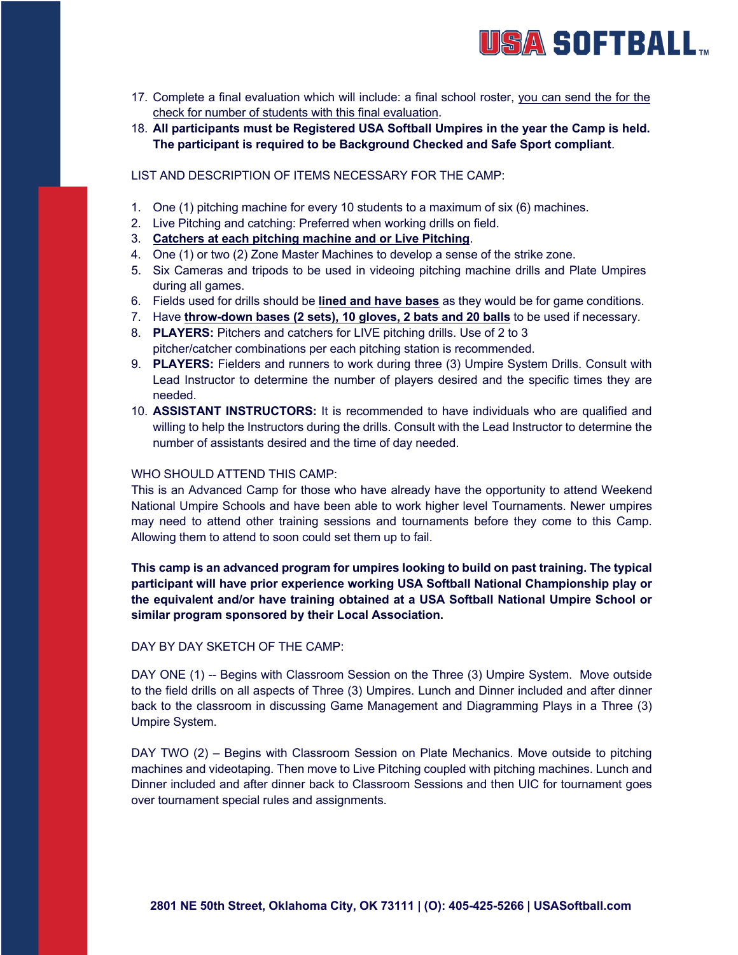

- 17. Complete a final evaluation which will include: a final school roster, you can send the for the check for number of students with this final evaluation.
- 18. **All participants must be Registered USA Softball Umpires in the year the Camp is held. The participant is required to be Background Checked and Safe Sport compliant**.

### LIST AND DESCRIPTION OF ITEMS NECESSARY FOR THE CAMP:

- 1. One (1) pitching machine for every 10 students to a maximum of six (6) machines.
- 2. Live Pitching and catching: Preferred when working drills on field.
- 3. **Catchers at each pitching machine and or Live Pitching**.
- 4. One (1) or two (2) Zone Master Machines to develop a sense of the strike zone.
- 5. Six Cameras and tripods to be used in videoing pitching machine drills and Plate Umpires during all games.
- 6. Fields used for drills should be **lined and have bases** as they would be for game conditions.
- 7. Have **throw-down bases (2 sets), 10 gloves, 2 bats and 20 balls** to be used if necessary.
- 8. **PLAYERS:** Pitchers and catchers for LIVE pitching drills. Use of 2 to 3 pitcher/catcher combinations per each pitching station is recommended.
- 9. **PLAYERS:** Fielders and runners to work during three (3) Umpire System Drills. Consult with Lead Instructor to determine the number of players desired and the specific times they are needed.
- 10. **ASSISTANT INSTRUCTORS:** It is recommended to have individuals who are qualified and willing to help the Instructors during the drills. Consult with the Lead Instructor to determine the number of assistants desired and the time of day needed.

# WHO SHOULD ATTEND THIS CAMP:

This is an Advanced Camp for those who have already have the opportunity to attend Weekend National Umpire Schools and have been able to work higher level Tournaments. Newer umpires may need to attend other training sessions and tournaments before they come to this Camp. Allowing them to attend to soon could set them up to fail.

**This camp is an advanced program for umpires looking to build on past training. The typical participant will have prior experience working USA Softball National Championship play or the equivalent and/or have training obtained at a USA Softball National Umpire School or similar program sponsored by their Local Association.**

#### DAY BY DAY SKETCH OF THE CAMP:

DAY ONE (1) -- Begins with Classroom Session on the Three (3) Umpire System. Move outside to the field drills on all aspects of Three (3) Umpires. Lunch and Dinner included and after dinner back to the classroom in discussing Game Management and Diagramming Plays in a Three (3) Umpire System.

DAY TWO (2) – Begins with Classroom Session on Plate Mechanics. Move outside to pitching machines and videotaping. Then move to Live Pitching coupled with pitching machines. Lunch and Dinner included and after dinner back to Classroom Sessions and then UIC for tournament goes over tournament special rules and assignments.